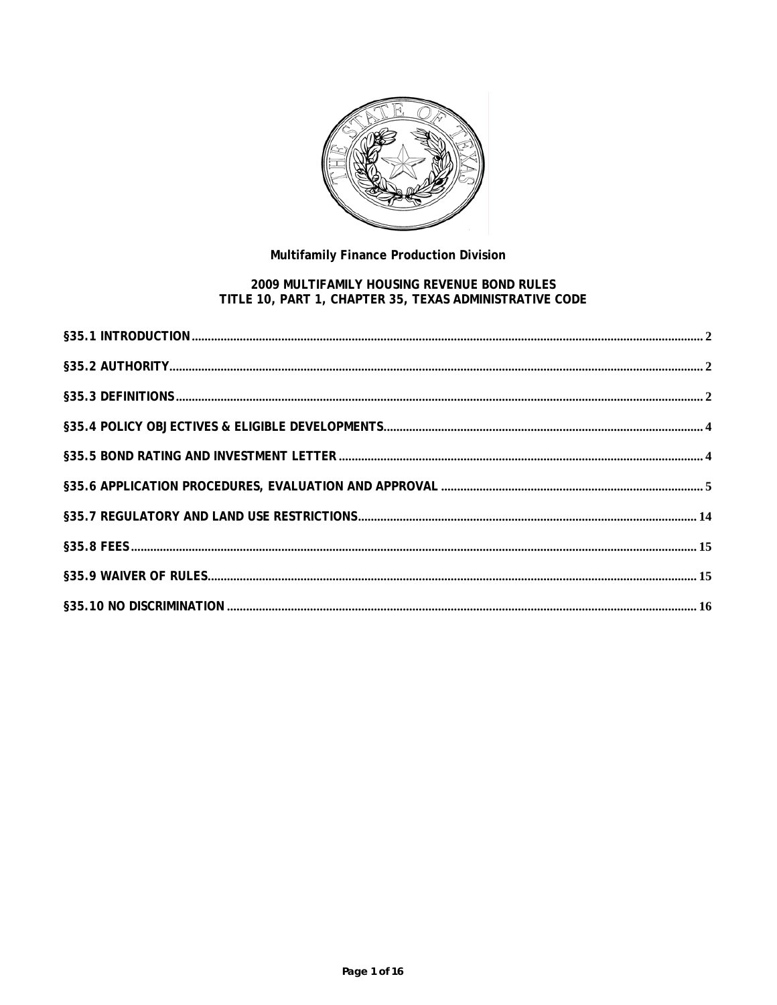

# Multifamily Finance Production Division

# 2009 MULTIFAMILY HOUSING REVENUE BOND RULES<br>TITLE 10, PART 1, CHAPTER 35, TEXAS ADMINISTRATIVE CODE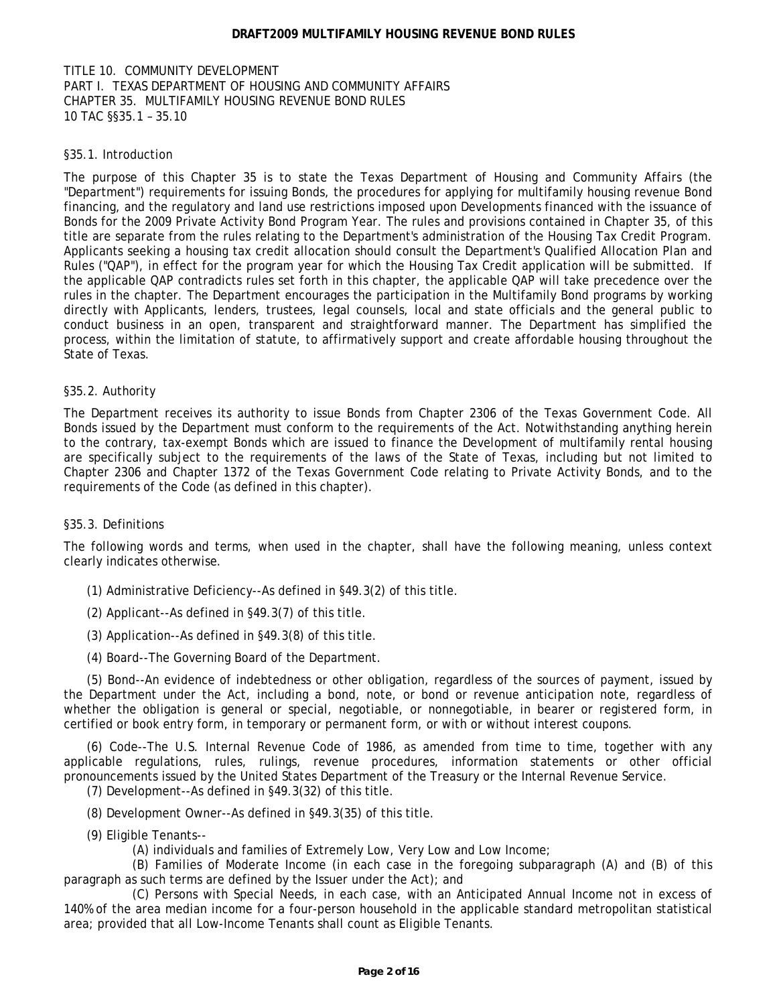<span id="page-1-0"></span>TITLE 10. COMMUNITY DEVELOPMENT PART I. TEXAS DEPARTMENT OF HOUSING AND COMMUNITY AFFAIRS CHAPTER 35. MULTIFAMILY HOUSING REVENUE BOND RULES 10 TAC §§35.1 – 35.10

# §35.1. Introduction

The purpose of this Chapter 35 is to state the Texas Department of Housing and Community Affairs (the "Department") requirements for issuing Bonds, the procedures for applying for multifamily housing revenue Bond financing, and the regulatory and land use restrictions imposed upon Developments financed with the issuance of Bonds for the 2009 Private Activity Bond Program Year. The rules and provisions contained in Chapter 35, of this title are separate from the rules relating to the Department's administration of the Housing Tax Credit Program. Applicants seeking a housing tax credit allocation should consult the Department's Qualified Allocation Plan and Rules ("QAP"), in effect for the program year for which the Housing Tax Credit application will be submitted. If the applicable QAP contradicts rules set forth in this chapter, the applicable QAP will take precedence over the rules in the chapter. The Department encourages the participation in the Multifamily Bond programs by working directly with Applicants, lenders, trustees, legal counsels, local and state officials and the general public to conduct business in an open, transparent and straightforward manner. The Department has simplified the process, within the limitation of statute, to affirmatively support and create affordable housing throughout the State of Texas.

# §35.2. Authority

The Department receives its authority to issue Bonds from Chapter 2306 of the Texas Government Code. All Bonds issued by the Department must conform to the requirements of the Act. Notwithstanding anything herein to the contrary, tax-exempt Bonds which are issued to finance the Development of multifamily rental housing are specifically subject to the requirements of the laws of the State of Texas, including but not limited to Chapter 2306 and Chapter 1372 of the Texas Government Code relating to Private Activity Bonds, and to the requirements of the Code (as defined in this chapter).

# §35.3. Definitions

The following words and terms, when used in the chapter, shall have the following meaning, unless context clearly indicates otherwise.

- (1) Administrative Deficiency--As defined in §49.3(2) of this title.
- (2) Applicant--As defined in §49.3(7) of this title.
- (3) Application--As defined in §49.3(8) of this title.
- (4) Board--The Governing Board of the Department.

(5) Bond--An evidence of indebtedness or other obligation, regardless of the sources of payment, issued by the Department under the Act, including a bond, note, or bond or revenue anticipation note, regardless of whether the obligation is general or special, negotiable, or nonnegotiable, in bearer or registered form, in certified or book entry form, in temporary or permanent form, or with or without interest coupons.

(6) Code--The U.S. Internal Revenue Code of 1986, as amended from time to time, together with any applicable regulations, rules, rulings, revenue procedures, information statements or other official pronouncements issued by the United States Department of the Treasury or the Internal Revenue Service.

(7) Development--As defined in §49.3(32) of this title.

- (8) Development Owner--As defined in §49.3(35) of this title.
- (9) Eligible Tenants--
	- (A) individuals and families of Extremely Low, Very Low and Low Income;

(B) Families of Moderate Income (in each case in the foregoing subparagraph (A) and (B) of this paragraph as such terms are defined by the Issuer under the Act); and

(C) Persons with Special Needs, in each case, with an Anticipated Annual Income not in excess of 140% of the area median income for a four-person household in the applicable standard metropolitan statistical area; provided that all Low-Income Tenants shall count as Eligible Tenants.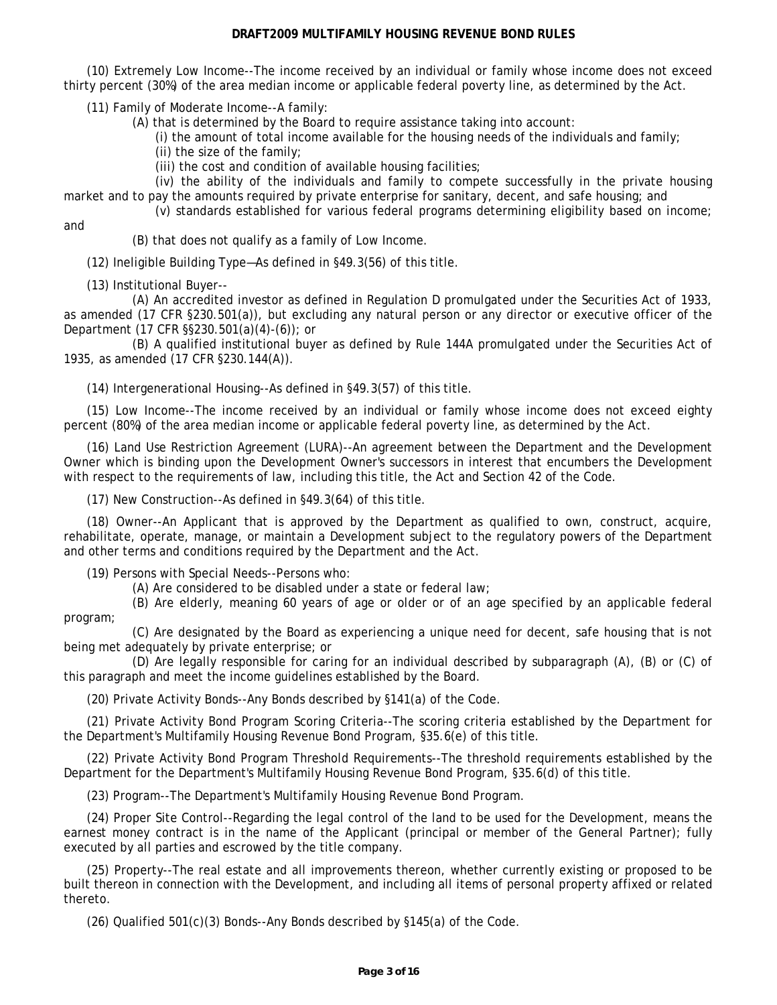(10) Extremely Low Income--The income received by an individual or family whose income does not exceed thirty percent (30%) of the area median income or applicable federal poverty line, as determined by the Act.

(11) Family of Moderate Income--A family:

(A) that is determined by the Board to require assistance taking into account:

(i) the amount of total income available for the housing needs of the individuals and family;

(ii) the size of the family;

(iii) the cost and condition of available housing facilities;

(iv) the ability of the individuals and family to compete successfully in the private housing market and to pay the amounts required by private enterprise for sanitary, decent, and safe housing; and

(v) standards established for various federal programs determining eligibility based on income;

and

(B) that does not qualify as a family of Low Income.

(12) Ineligible Building Type—As defined in §49.3(56) of this title.

(13) Institutional Buyer--

(A) An accredited investor as defined in Regulation D promulgated under the Securities Act of 1933, as amended (17 CFR §230.501(a)), but excluding any natural person or any director or executive officer of the Department (17 CFR §§230.501(a)(4)-(6)); or

(B) A qualified institutional buyer as defined by Rule 144A promulgated under the Securities Act of 1935, as amended (17 CFR §230.144(A)).

(14) Intergenerational Housing--As defined in §49.3(57) of this title.

(15) Low Income--The income received by an individual or family whose income does not exceed eighty percent (80%) of the area median income or applicable federal poverty line, as determined by the Act.

(16) Land Use Restriction Agreement (LURA)--An agreement between the Department and the Development Owner which is binding upon the Development Owner's successors in interest that encumbers the Development with respect to the requirements of law, including this title, the Act and Section 42 of the Code.

(17) New Construction--As defined in §49.3(64) of this title.

(18) Owner--An Applicant that is approved by the Department as qualified to own, construct, acquire, rehabilitate, operate, manage, or maintain a Development subject to the regulatory powers of the Department and other terms and conditions required by the Department and the Act.

(19) Persons with Special Needs--Persons who:

(A) Are considered to be disabled under a state or federal law;

(B) Are elderly, meaning 60 years of age or older or of an age specified by an applicable federal program;

(C) Are designated by the Board as experiencing a unique need for decent, safe housing that is not being met adequately by private enterprise; or

(D) Are legally responsible for caring for an individual described by subparagraph (A), (B) or (C) of this paragraph and meet the income guidelines established by the Board.

(20) Private Activity Bonds--Any Bonds described by §141(a) of the Code.

(21) Private Activity Bond Program Scoring Criteria--The scoring criteria established by the Department for the Department's Multifamily Housing Revenue Bond Program, §35.6(e) of this title.

(22) Private Activity Bond Program Threshold Requirements--The threshold requirements established by the Department for the Department's Multifamily Housing Revenue Bond Program, §35.6(d) of this title.

(23) Program--The Department's Multifamily Housing Revenue Bond Program.

(24) Proper Site Control--Regarding the legal control of the land to be used for the Development, means the earnest money contract is in the name of the Applicant (principal or member of the General Partner); fully executed by all parties and escrowed by the title company.

(25) Property--The real estate and all improvements thereon, whether currently existing or proposed to be built thereon in connection with the Development, and including all items of personal property affixed or related thereto.

(26) Qualified 501(c)(3) Bonds--Any Bonds described by §145(a) of the Code.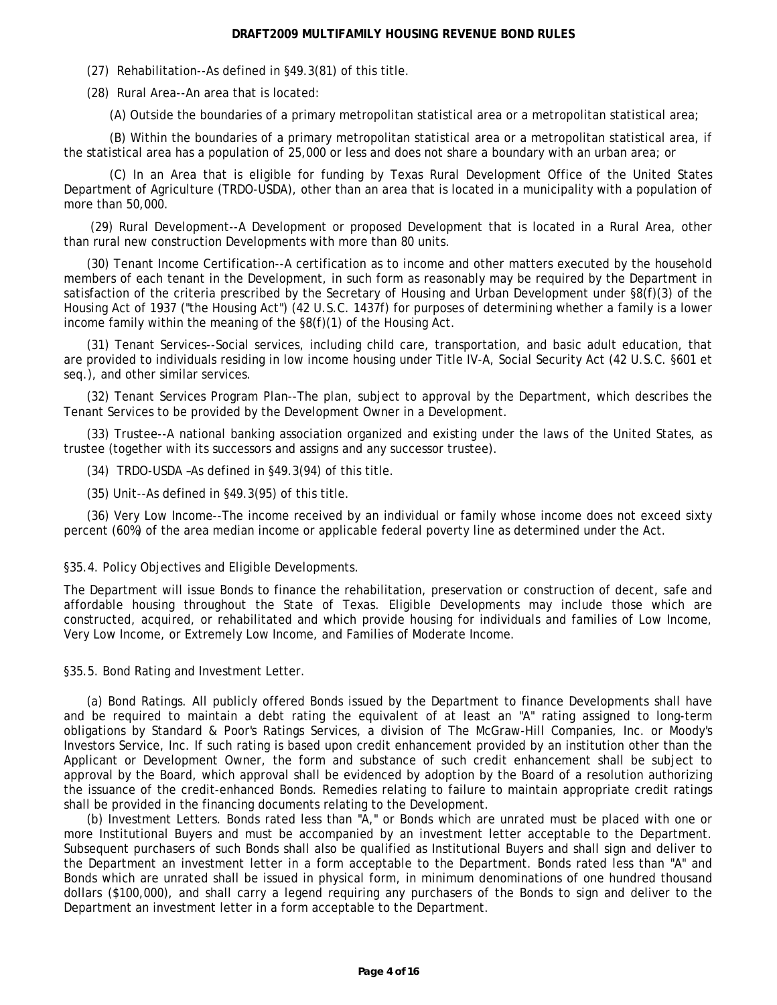<span id="page-3-0"></span>(27) Rehabilitation--As defined in §49.3(81) of this title.

(28) Rural Area--An area that is located:

(A) Outside the boundaries of a primary metropolitan statistical area or a metropolitan statistical area;

(B) Within the boundaries of a primary metropolitan statistical area or a metropolitan statistical area, if the statistical area has a population of 25,000 or less and does not share a boundary with an urban area; or

(C) In an Area that is eligible for funding by Texas Rural Development Office of the United States Department of Agriculture (TRDO-USDA), other than an area that is located in a municipality with a population of more than 50,000.

(29) Rural Development--A Development or proposed Development that is located in a Rural Area, other than rural new construction Developments with more than 80 units.

(30) Tenant Income Certification--A certification as to income and other matters executed by the household members of each tenant in the Development, in such form as reasonably may be required by the Department in satisfaction of the criteria prescribed by the Secretary of Housing and Urban Development under §8(f)(3) of the Housing Act of 1937 ("the Housing Act") (42 U.S.C. 1437f) for purposes of determining whether a family is a lower income family within the meaning of the §8(f)(1) of the Housing Act.

(31) Tenant Services--Social services, including child care, transportation, and basic adult education, that are provided to individuals residing in low income housing under Title IV-A, Social Security Act (42 U.S.C. §601 et seq.), and other similar services.

(32) Tenant Services Program Plan--The plan, subject to approval by the Department, which describes the Tenant Services to be provided by the Development Owner in a Development.

(33) Trustee--A national banking association organized and existing under the laws of the United States, as trustee (together with its successors and assigns and any successor trustee).

(34) TRDO-USDA –As defined in §49.3(94) of this title.

(35) Unit--As defined in §49.3(95) of this title.

(36) Very Low Income--The income received by an individual or family whose income does not exceed sixty percent (60%) of the area median income or applicable federal poverty line as determined under the Act.

#### §35.4. Policy Objectives and Eligible Developments.

The Department will issue Bonds to finance the rehabilitation, preservation or construction of decent, safe and affordable housing throughout the State of Texas. Eligible Developments may include those which are constructed, acquired, or rehabilitated and which provide housing for individuals and families of Low Income, Very Low Income, or Extremely Low Income, and Families of Moderate Income.

§35.5. Bond Rating and Investment Letter.

(a) Bond Ratings. All publicly offered Bonds issued by the Department to finance Developments shall have and be required to maintain a debt rating the equivalent of at least an "A" rating assigned to long-term obligations by Standard & Poor's Ratings Services, a division of The McGraw-Hill Companies, Inc. or Moody's Investors Service, Inc. If such rating is based upon credit enhancement provided by an institution other than the Applicant or Development Owner, the form and substance of such credit enhancement shall be subject to approval by the Board, which approval shall be evidenced by adoption by the Board of a resolution authorizing the issuance of the credit-enhanced Bonds. Remedies relating to failure to maintain appropriate credit ratings shall be provided in the financing documents relating to the Development.

(b) Investment Letters. Bonds rated less than "A," or Bonds which are unrated must be placed with one or more Institutional Buyers and must be accompanied by an investment letter acceptable to the Department. Subsequent purchasers of such Bonds shall also be qualified as Institutional Buyers and shall sign and deliver to the Department an investment letter in a form acceptable to the Department. Bonds rated less than "A" and Bonds which are unrated shall be issued in physical form, in minimum denominations of one hundred thousand dollars (\$100,000), and shall carry a legend requiring any purchasers of the Bonds to sign and deliver to the Department an investment letter in a form acceptable to the Department.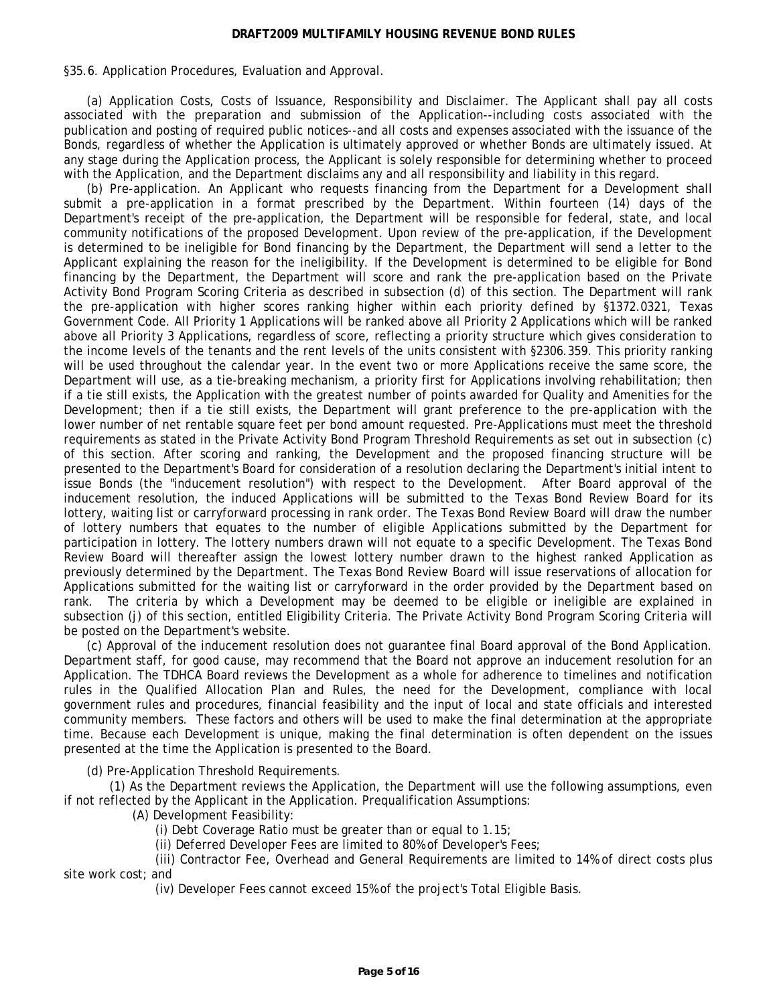<span id="page-4-0"></span>§35.6. Application Procedures, Evaluation and Approval.

(a) Application Costs, Costs of Issuance, Responsibility and Disclaimer. The Applicant shall pay all costs associated with the preparation and submission of the Application--including costs associated with the publication and posting of required public notices--and all costs and expenses associated with the issuance of the Bonds, regardless of whether the Application is ultimately approved or whether Bonds are ultimately issued. At any stage during the Application process, the Applicant is solely responsible for determining whether to proceed with the Application, and the Department disclaims any and all responsibility and liability in this regard.

(b) Pre-application. An Applicant who requests financing from the Department for a Development shall submit a pre-application in a format prescribed by the Department. Within fourteen (14) days of the Department's receipt of the pre-application, the Department will be responsible for federal, state, and local community notifications of the proposed Development. Upon review of the pre-application, if the Development is determined to be ineligible for Bond financing by the Department, the Department will send a letter to the Applicant explaining the reason for the ineligibility. If the Development is determined to be eligible for Bond financing by the Department, the Department will score and rank the pre-application based on the Private Activity Bond Program Scoring Criteria as described in subsection (d) of this section. The Department will rank the pre-application with higher scores ranking higher within each priority defined by §1372.0321, Texas Government Code. All Priority 1 Applications will be ranked above all Priority 2 Applications which will be ranked above all Priority 3 Applications, regardless of score, reflecting a priority structure which gives consideration to the income levels of the tenants and the rent levels of the units consistent with §2306.359. This priority ranking will be used throughout the calendar year. In the event two or more Applications receive the same score, the Department will use, as a tie-breaking mechanism, a priority first for Applications involving rehabilitation; then if a tie still exists, the Application with the greatest number of points awarded for Quality and Amenities for the Development; then if a tie still exists, the Department will grant preference to the pre-application with the lower number of net rentable square feet per bond amount requested. Pre-Applications must meet the threshold requirements as stated in the Private Activity Bond Program Threshold Requirements as set out in subsection (c) of this section. After scoring and ranking, the Development and the proposed financing structure will be presented to the Department's Board for consideration of a resolution declaring the Department's initial intent to issue Bonds (the "inducement resolution") with respect to the Development. After Board approval of the inducement resolution, the induced Applications will be submitted to the Texas Bond Review Board for its lottery, waiting list or carryforward processing in rank order. The Texas Bond Review Board will draw the number of lottery numbers that equates to the number of eligible Applications submitted by the Department for participation in lottery. The lottery numbers drawn will not equate to a specific Development. The Texas Bond Review Board will thereafter assign the lowest lottery number drawn to the highest ranked Application as previously determined by the Department. The Texas Bond Review Board will issue reservations of allocation for Applications submitted for the waiting list or carryforward in the order provided by the Department based on rank. The criteria by which a Development may be deemed to be eligible or ineligible are explained in subsection (j) of this section, entitled Eligibility Criteria. The Private Activity Bond Program Scoring Criteria will be posted on the Department's website.

(c) Approval of the inducement resolution does not guarantee final Board approval of the Bond Application. Department staff, for good cause, may recommend that the Board not approve an inducement resolution for an Application. The TDHCA Board reviews the Development as a whole for adherence to timelines and notification rules in the Qualified Allocation Plan and Rules, the need for the Development, compliance with local government rules and procedures, financial feasibility and the input of local and state officials and interested community members. These factors and others will be used to make the final determination at the appropriate time. Because each Development is unique, making the final determination is often dependent on the issues presented at the time the Application is presented to the Board.

(d) Pre-Application Threshold Requirements.

(1) As the Department reviews the Application, the Department will use the following assumptions, even if not reflected by the Applicant in the Application. Prequalification Assumptions:

(A) Development Feasibility:

- (i) Debt Coverage Ratio must be greater than or equal to 1.15;
- (ii) Deferred Developer Fees are limited to 80% of Developer's Fees;

(iii) Contractor Fee, Overhead and General Requirements are limited to 14% of direct costs plus site work cost; and

(iv) Developer Fees cannot exceed 15% of the project's Total Eligible Basis.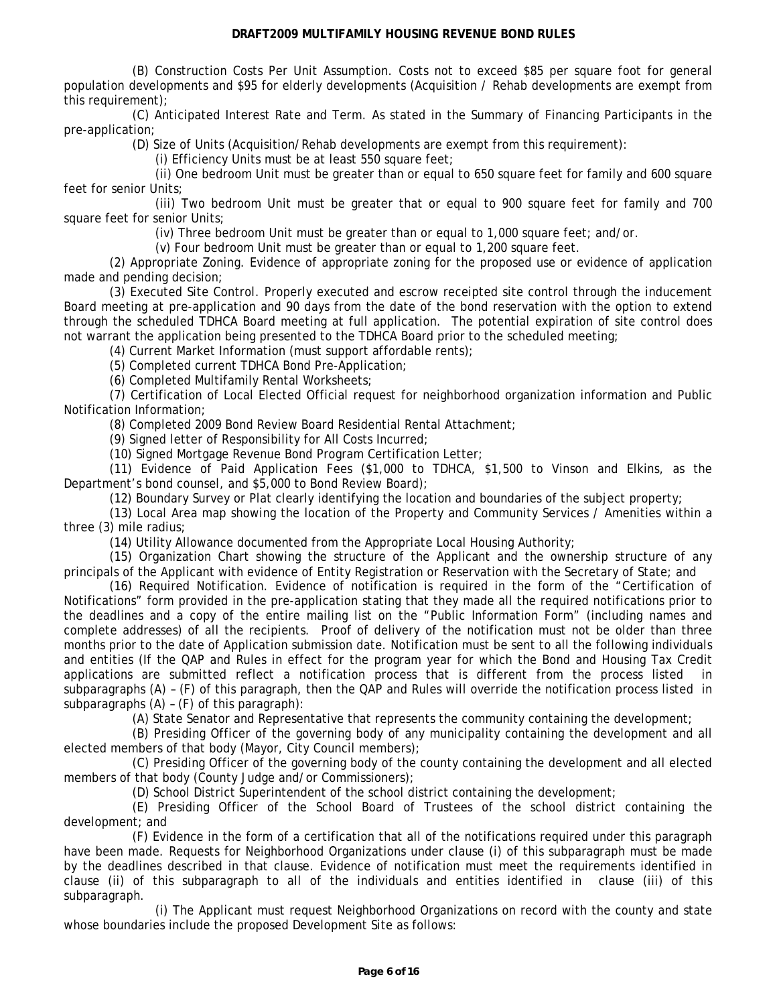(B) Construction Costs Per Unit Assumption. Costs not to exceed \$85 per square foot for general population developments and \$95 for elderly developments (Acquisition / Rehab developments are exempt from this requirement);

(C) Anticipated Interest Rate and Term. As stated in the Summary of Financing Participants in the pre-application;

(D) Size of Units (Acquisition/Rehab developments are exempt from this requirement):

(i) Efficiency Units must be at least 550 square feet;

(ii) One bedroom Unit must be greater than or equal to 650 square feet for family and 600 square feet for senior Units;

(iii) Two bedroom Unit must be greater that or equal to 900 square feet for family and 700 square feet for senior Units;

(iv) Three bedroom Unit must be greater than or equal to 1,000 square feet; and/or.

(v) Four bedroom Unit must be greater than or equal to 1,200 square feet.

(2) Appropriate Zoning. Evidence of appropriate zoning for the proposed use or evidence of application made and pending decision;

(3) Executed Site Control. Properly executed and escrow receipted site control through the inducement Board meeting at pre-application and 90 days from the date of the bond reservation with the option to extend through the scheduled TDHCA Board meeting at full application. The potential expiration of site control does not warrant the application being presented to the TDHCA Board prior to the scheduled meeting;

(4) Current Market Information (must support affordable rents);

(5) Completed current TDHCA Bond Pre-Application;

(6) Completed Multifamily Rental Worksheets;

(7) Certification of Local Elected Official request for neighborhood organization information and Public Notification Information;

(8) Completed 2009 Bond Review Board Residential Rental Attachment;

(9) Signed letter of Responsibility for All Costs Incurred;

(10) Signed Mortgage Revenue Bond Program Certification Letter;

(11) Evidence of Paid Application Fees (\$1,000 to TDHCA, \$1,500 to Vinson and Elkins, as the Department's bond counsel, and \$5,000 to Bond Review Board);

(12) Boundary Survey or Plat clearly identifying the location and boundaries of the subject property;

(13) Local Area map showing the location of the Property and Community Services / Amenities within a three (3) mile radius;

(14) Utility Allowance documented from the Appropriate Local Housing Authority;

(15) Organization Chart showing the structure of the Applicant and the ownership structure of any principals of the Applicant with evidence of Entity Registration or Reservation with the Secretary of State; and

(16) Required Notification. Evidence of notification is required in the form of the "Certification of Notifications" form provided in the pre-application stating that they made all the required notifications prior to the deadlines and a copy of the entire mailing list on the "Public Information Form" (including names and complete addresses) of all the recipients. Proof of delivery of the notification must not be older than three months prior to the date of Application submission date. Notification must be sent to all the following individuals and entities (If the QAP and Rules in effect for the program year for which the Bond and Housing Tax Credit applications are submitted reflect a notification process that is different from the process listed in subparagraphs (A) – (F) of this paragraph, then the QAP and Rules will override the notification process listed in subparagraphs (A) – (F) of this paragraph):

(A) State Senator and Representative that represents the community containing the development;

(B) Presiding Officer of the governing body of any municipality containing the development and all elected members of that body (Mayor, City Council members);

(C) Presiding Officer of the governing body of the county containing the development and all elected members of that body (County Judge and/or Commissioners);

(D) School District Superintendent of the school district containing the development;

(E) Presiding Officer of the School Board of Trustees of the school district containing the development; and

(F) Evidence in the form of a certification that all of the notifications required under this paragraph have been made. Requests for Neighborhood Organizations under clause (i) of this subparagraph must be made by the deadlines described in that clause. Evidence of notification must meet the requirements identified in clause (ii) of this subparagraph to all of the individuals and entities identified in clause (iii) of this subparagraph.

(i) The Applicant must request Neighborhood Organizations on record with the county and state whose boundaries include the proposed Development Site as follows: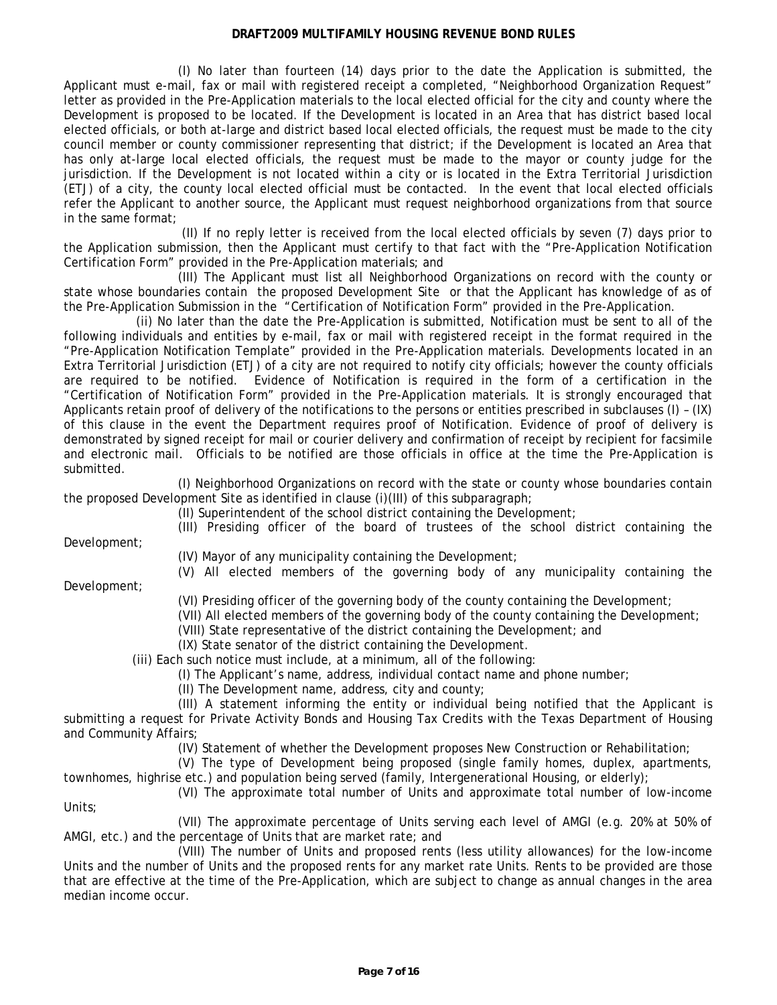(I) No later than fourteen (14) days prior to the date the Application is submitted, the Applicant must e-mail, fax or mail with registered receipt a completed, "Neighborhood Organization Request" letter as provided in the Pre-Application materials to the local elected official for the city and county where the Development is proposed to be located. If the Development is located in an Area that has district based local elected officials, or both at-large and district based local elected officials, the request must be made to the city council member or county commissioner representing that district; if the Development is located an Area that has only at-large local elected officials, the request must be made to the mayor or county judge for the jurisdiction. If the Development is not located within a city or is located in the Extra Territorial Jurisdiction (ETJ) of a city, the county local elected official must be contacted. In the event that local elected officials refer the Applicant to another source, the Applicant must request neighborhood organizations from that source in the same format;

(II) If no reply letter is received from the local elected officials by seven (7) days prior to the Application submission, then the Applicant must certify to that fact with the "Pre-Application Notification Certification Form" provided in the Pre-Application materials; and

(III) The Applicant must list all Neighborhood Organizations on record with the county or state whose boundaries contain the proposed Development Site or that the Applicant has knowledge of as of the Pre-Application Submission in the "Certification of Notification Form" provided in the Pre-Application.

(ii) No later than the date the Pre-Application is submitted, Notification must be sent to all of the following individuals and entities by e-mail, fax or mail with registered receipt in the format required in the "Pre-Application Notification Template" provided in the Pre-Application materials. Developments located in an Extra Territorial Jurisdiction (ETJ) of a city are not required to notify city officials; however the county officials are required to be notified. Evidence of Notification is required in the form of a certification in the "Certification of Notification Form" provided in the Pre-Application materials. It is strongly encouraged that Applicants retain proof of delivery of the notifications to the persons or entities prescribed in subclauses (I) – (IX) of this clause in the event the Department requires proof of Notification. Evidence of proof of delivery is demonstrated by signed receipt for mail or courier delivery and confirmation of receipt by recipient for facsimile and electronic mail. Officials to be notified are those officials in office at the time the Pre-Application is submitted.

(I) Neighborhood Organizations on record with the state or county whose boundaries contain the proposed Development Site as identified in clause (i)(III) of this subparagraph;

(II) Superintendent of the school district containing the Development;

Development;

(III) Presiding officer of the board of trustees of the school district containing the

(IV) Mayor of any municipality containing the Development;

(V) All elected members of the governing body of any municipality containing the

Development;

(VI) Presiding officer of the governing body of the county containing the Development;

(VII) All elected members of the governing body of the county containing the Development;

(VIII) State representative of the district containing the Development; and

(IX) State senator of the district containing the Development.

(iii) Each such notice must include, at a minimum, all of the following:

(I) The Applicant's name, address, individual contact name and phone number;

(II) The Development name, address, city and county;

(III) A statement informing the entity or individual being notified that the Applicant is submitting a request for Private Activity Bonds and Housing Tax Credits with the Texas Department of Housing and Community Affairs;

(IV) Statement of whether the Development proposes New Construction or Rehabilitation;

(V) The type of Development being proposed (single family homes, duplex, apartments, townhomes, highrise etc.) and population being served (family, Intergenerational Housing, or elderly);

(VI) The approximate total number of Units and approximate total number of low-income Units;

(VII) The approximate percentage of Units serving each level of AMGI (e.g. 20% at 50% of AMGI, etc.) and the percentage of Units that are market rate; and

(VIII) The number of Units and proposed rents (less utility allowances) for the low-income Units and the number of Units and the proposed rents for any market rate Units. Rents to be provided are those that are effective at the time of the Pre-Application, which are subject to change as annual changes in the area median income occur.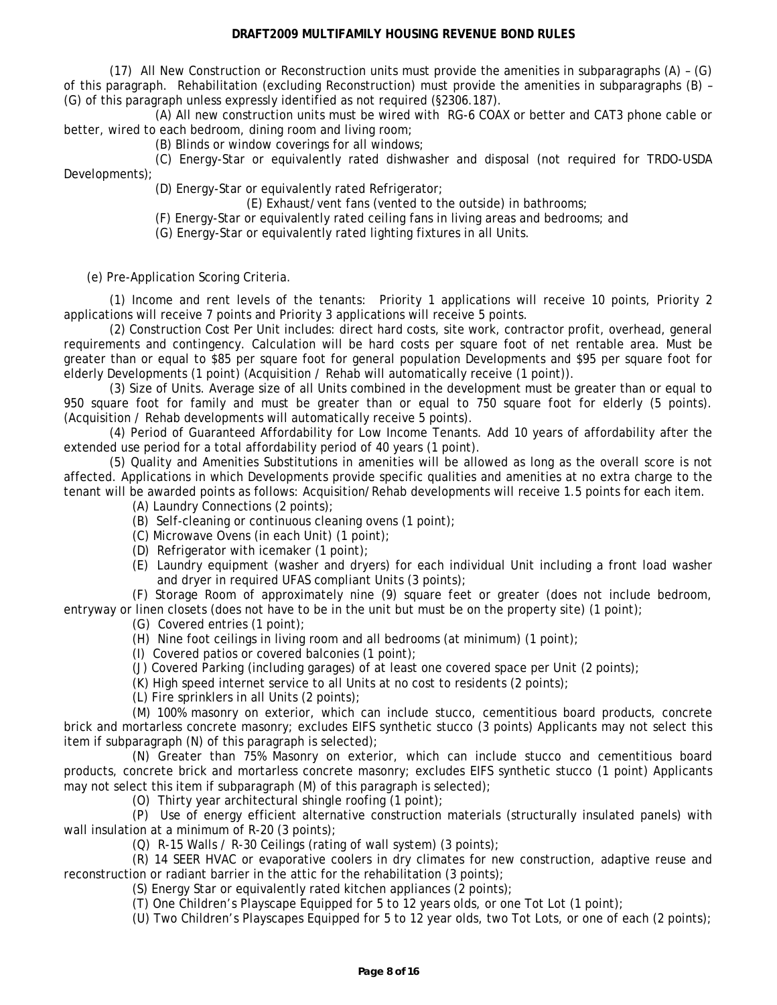(17) All New Construction or Reconstruction units must provide the amenities in subparagraphs (A) – (G) of this paragraph. Rehabilitation (excluding Reconstruction) must provide the amenities in subparagraphs (B) – (G) of this paragraph unless expressly identified as not required (§2306.187).

(A) All new construction units must be wired with RG-6 COAX or better and CAT3 phone cable or better, wired to each bedroom, dining room and living room;

(B) Blinds or window coverings for all windows;

(C) Energy-Star or equivalently rated dishwasher and disposal (not required for TRDO-USDA Developments);

(D) Energy-Star or equivalently rated Refrigerator;

(E) Exhaust/vent fans (vented to the outside) in bathrooms;

(F) Energy-Star or equivalently rated ceiling fans in living areas and bedrooms; and

(G) Energy-Star or equivalently rated lighting fixtures in all Units.

(e) Pre-Application Scoring Criteria.

(1) Income and rent levels of the tenants: Priority 1 applications will receive 10 points, Priority 2 applications will receive 7 points and Priority 3 applications will receive 5 points.

(2) Construction Cost Per Unit includes: direct hard costs, site work, contractor profit, overhead, general requirements and contingency. Calculation will be hard costs per square foot of net rentable area. Must be greater than or equal to \$85 per square foot for general population Developments and \$95 per square foot for elderly Developments (1 point) (Acquisition / Rehab will automatically receive (1 point)).

(3) Size of Units. Average size of all Units combined in the development must be greater than or equal to 950 square foot for family and must be greater than or equal to 750 square foot for elderly (5 points). (Acquisition / Rehab developments will automatically receive 5 points).

(4) Period of Guaranteed Affordability for Low Income Tenants. Add 10 years of affordability after the extended use period for a total affordability period of 40 years (1 point).

(5) Quality and Amenities Substitutions in amenities will be allowed as long as the overall score is not affected. Applications in which Developments provide specific qualities and amenities at no extra charge to the tenant will be awarded points as follows: Acquisition/Rehab developments will receive 1.5 points for each item.

(A) Laundry Connections (2 points);

- (B) Self-cleaning or continuous cleaning ovens (1 point);
- (C) Microwave Ovens (in each Unit) (1 point);
- (D) Refrigerator with icemaker (1 point);
- (E) Laundry equipment (washer and dryers) for each individual Unit including a front load washer and dryer in required UFAS compliant Units (3 points);

(F) Storage Room of approximately nine (9) square feet or greater (does not include bedroom, entryway or linen closets (does not have to be in the unit but must be on the property site) (1 point);

(G) Covered entries (1 point);

- (H) Nine foot ceilings in living room and all bedrooms (at minimum) (1 point);
- (I) Covered patios or covered balconies (1 point);
- (J) Covered Parking (including garages) of at least one covered space per Unit (2 points);
- (K) High speed internet service to all Units at no cost to residents (2 points);
- (L) Fire sprinklers in all Units (2 points);

(M) 100% masonry on exterior, which can include stucco, cementitious board products, concrete brick and mortarless concrete masonry; excludes EIFS synthetic stucco (3 points) Applicants may not select this item if subparagraph (N) of this paragraph is selected);

(N) Greater than 75% Masonry on exterior, which can include stucco and cementitious board products, concrete brick and mortarless concrete masonry; excludes EIFS synthetic stucco (1 point) Applicants may not select this item if subparagraph (M) of this paragraph is selected);

(O) Thirty year architectural shingle roofing (1 point);

(P) Use of energy efficient alternative construction materials (structurally insulated panels) with wall insulation at a minimum of R-20 (3 points);

(Q) R-15 Walls / R-30 Ceilings (rating of wall system) (3 points);

(R) 14 SEER HVAC or evaporative coolers in dry climates for new construction, adaptive reuse and reconstruction or radiant barrier in the attic for the rehabilitation (3 points);

(S) Energy Star or equivalently rated kitchen appliances (2 points);

(T) One Children's Playscape Equipped for 5 to 12 years olds, or one Tot Lot (1 point);

(U) Two Children's Playscapes Equipped for 5 to 12 year olds, two Tot Lots, or one of each (2 points);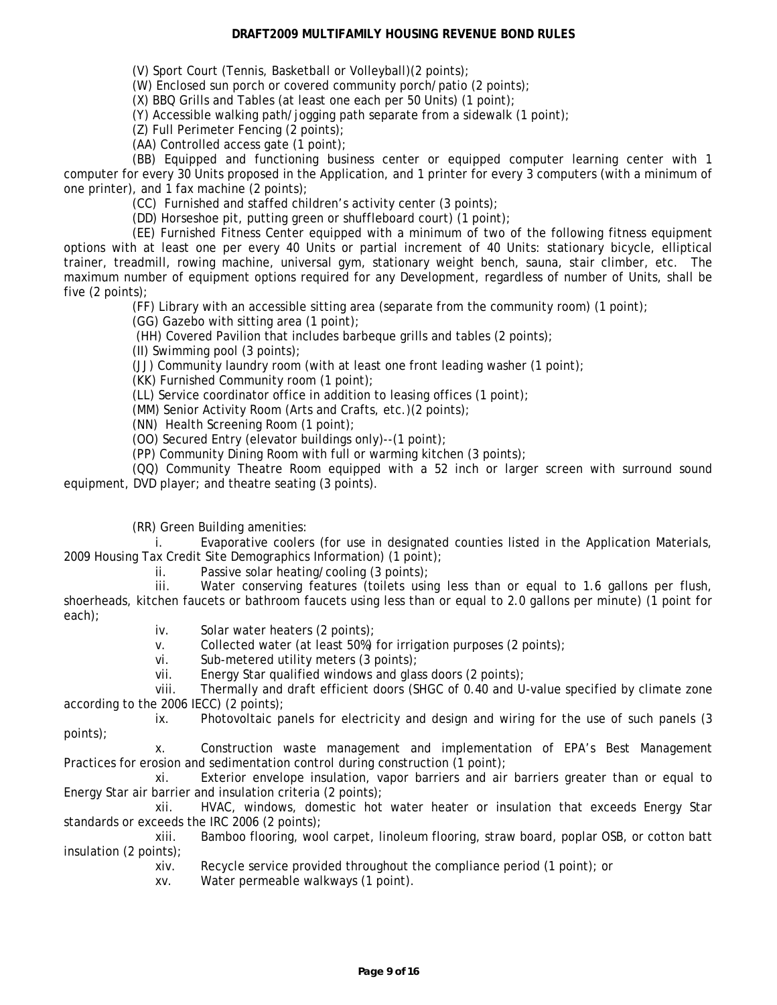(V) Sport Court (Tennis, Basketball or Volleyball)(2 points);

(W) Enclosed sun porch or covered community porch/patio (2 points);

(X) BBQ Grills and Tables (at least one each per 50 Units) (1 point);

(Y) Accessible walking path/jogging path separate from a sidewalk (1 point);

(Z) Full Perimeter Fencing (2 points);

(AA) Controlled access gate (1 point);

(BB) Equipped and functioning business center or equipped computer learning center with 1 computer for every 30 Units proposed in the Application, and 1 printer for every 3 computers (with a minimum of one printer), and 1 fax machine (2 points);

(CC) Furnished and staffed children's activity center (3 points);

(DD) Horseshoe pit, putting green or shuffleboard court) (1 point);

(EE) Furnished Fitness Center equipped with a minimum of two of the following fitness equipment options with at least one per every 40 Units or partial increment of 40 Units: stationary bicycle, elliptical trainer, treadmill, rowing machine, universal gym, stationary weight bench, sauna, stair climber, etc. The maximum number of equipment options required for any Development, regardless of number of Units, shall be five (2 points);

(FF) Library with an accessible sitting area (separate from the community room) (1 point);

(GG) Gazebo with sitting area (1 point);

(HH) Covered Pavilion that includes barbeque grills and tables (2 points);

(II) Swimming pool (3 points);

(JJ) Community laundry room (with at least one front leading washer (1 point);

(KK) Furnished Community room (1 point);

(LL) Service coordinator office in addition to leasing offices (1 point);

(MM) Senior Activity Room (Arts and Crafts, etc.)(2 points);

(NN) Health Screening Room (1 point);

(OO) Secured Entry (elevator buildings only)--(1 point);

(PP) Community Dining Room with full or warming kitchen (3 points);

(QQ) Community Theatre Room equipped with a 52 inch or larger screen with surround sound equipment, DVD player; and theatre seating (3 points).

(RR) Green Building amenities:

i. Evaporative coolers (for use in designated counties listed in the Application Materials, 2009 Housing Tax Credit Site Demographics Information) (1 point);

ii. Passive solar heating/cooling (3 points);

iii. Water conserving features (toilets using less than or equal to 1.6 gallons per flush, shoerheads, kitchen faucets or bathroom faucets using less than or equal to 2.0 gallons per minute) (1 point for each);

iv. Solar water heaters (2 points);

v. Collected water (at least 50%) for irrigation purposes (2 points);

vi. Sub-metered utility meters (3 points);

vii. Energy Star qualified windows and glass doors (2 points);

viii. Thermally and draft efficient doors (SHGC of 0.40 and U-value specified by climate zone according to the 2006 IECC) (2 points);

ix. Photovoltaic panels for electricity and design and wiring for the use of such panels (3 points);

x. Construction waste management and implementation of EPA's Best Management Practices for erosion and sedimentation control during construction (1 point);

xi. Exterior envelope insulation, vapor barriers and air barriers greater than or equal to Energy Star air barrier and insulation criteria (2 points);

xii. HVAC, windows, domestic hot water heater or insulation that exceeds Energy Star standards or exceeds the IRC 2006 (2 points);

xiii. Bamboo flooring, wool carpet, linoleum flooring, straw board, poplar OSB, or cotton batt insulation (2 points);

xiv. Recycle service provided throughout the compliance period (1 point); or

xv. Water permeable walkways (1 point).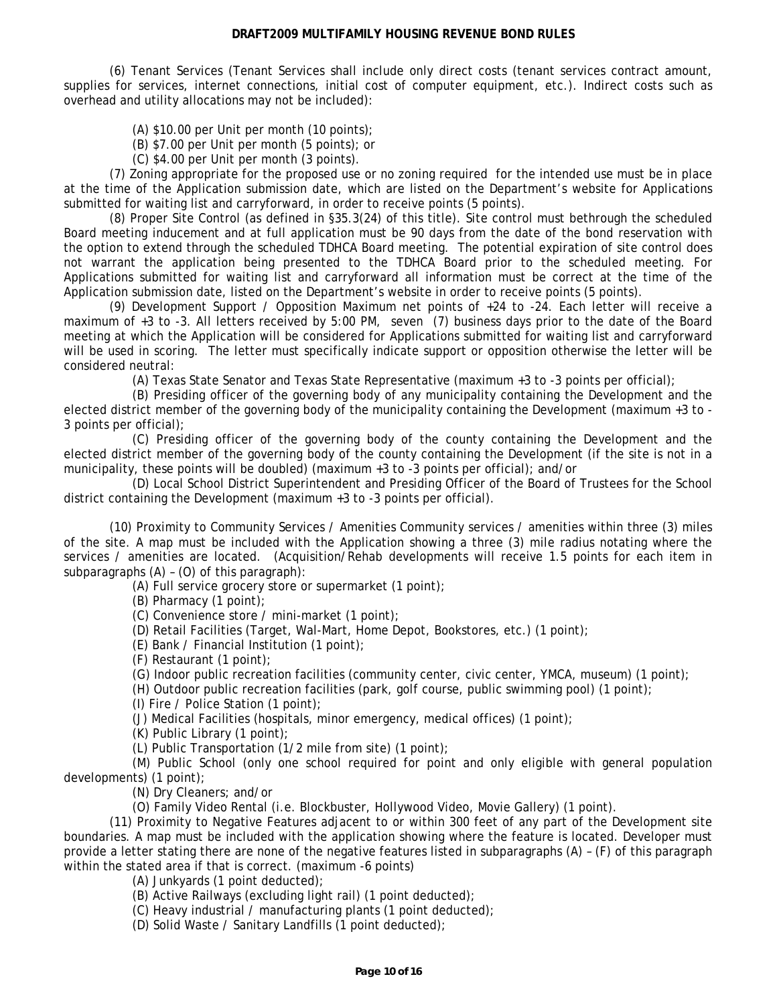(6) Tenant Services (Tenant Services shall include only direct costs (tenant services contract amount, supplies for services, internet connections, initial cost of computer equipment, etc.). Indirect costs such as overhead and utility allocations may not be included):

(A) \$10.00 per Unit per month (10 points);

(B) \$7.00 per Unit per month (5 points); or

(C) \$4.00 per Unit per month (3 points).

(7) Zoning appropriate for the proposed use or no zoning required for the intended use must be in place at the time of the Application submission date, which are listed on the Department's website for Applications submitted for waiting list and carryforward, in order to receive points (5 points).

(8) Proper Site Control (as defined in §35.3(24) of this title). Site control must bethrough the scheduled Board meeting inducement and at full application must be 90 days from the date of the bond reservation with the option to extend through the scheduled TDHCA Board meeting. The potential expiration of site control does not warrant the application being presented to the TDHCA Board prior to the scheduled meeting. For Applications submitted for waiting list and carryforward all information must be correct at the time of the Application submission date, listed on the Department's website in order to receive points (5 points).

(9) Development Support / Opposition Maximum net points of +24 to -24. Each letter will receive a maximum of +3 to -3. All letters received by 5:00 PM, seven (7) business days prior to the date of the Board meeting at which the Application will be considered for Applications submitted for waiting list and carryforward will be used in scoring. The letter must specifically indicate support or opposition otherwise the letter will be considered neutral:

(A) Texas State Senator and Texas State Representative (maximum +3 to -3 points per official);

(B) Presiding officer of the governing body of any municipality containing the Development and the elected district member of the governing body of the municipality containing the Development (maximum +3 to - 3 points per official);

(C) Presiding officer of the governing body of the county containing the Development and the elected district member of the governing body of the county containing the Development (if the site is not in a municipality, these points will be doubled) (maximum +3 to -3 points per official); and/or

(D) Local School District Superintendent and Presiding Officer of the Board of Trustees for the School district containing the Development (maximum +3 to -3 points per official).

(10) Proximity to Community Services / Amenities Community services / amenities within three (3) miles of the site. A map must be included with the Application showing a three (3) mile radius notating where the services / amenities are located. (Acquisition/Rehab developments will receive 1.5 points for each item in subparagraphs (A) – (O) of this paragraph):

(A) Full service grocery store or supermarket (1 point);

(B) Pharmacy (1 point);

(C) Convenience store / mini-market (1 point);

(D) Retail Facilities (Target, Wal-Mart, Home Depot, Bookstores, etc.) (1 point);

(E) Bank / Financial Institution (1 point);

(F) Restaurant (1 point);

(G) Indoor public recreation facilities (community center, civic center, YMCA, museum) (1 point);

(H) Outdoor public recreation facilities (park, golf course, public swimming pool) (1 point);

(I) Fire / Police Station (1 point);

(J) Medical Facilities (hospitals, minor emergency, medical offices) (1 point);

(K) Public Library (1 point);

(L) Public Transportation (1/2 mile from site) (1 point);

(M) Public School (only one school required for point and only eligible with general population developments) (1 point);

(N) Dry Cleaners; and/or

(O) Family Video Rental (i.e. Blockbuster, Hollywood Video, Movie Gallery) (1 point).

(11) Proximity to Negative Features adjacent to or within 300 feet of any part of the Development site boundaries. A map must be included with the application showing where the feature is located. Developer must provide a letter stating there are none of the negative features listed in subparagraphs (A) – (F) of this paragraph within the stated area if that is correct. (maximum -6 points)

(A) Junkyards (1 point deducted);

(B) Active Railways (excluding light rail) (1 point deducted);

(C) Heavy industrial / manufacturing plants (1 point deducted);

(D) Solid Waste / Sanitary Landfills (1 point deducted);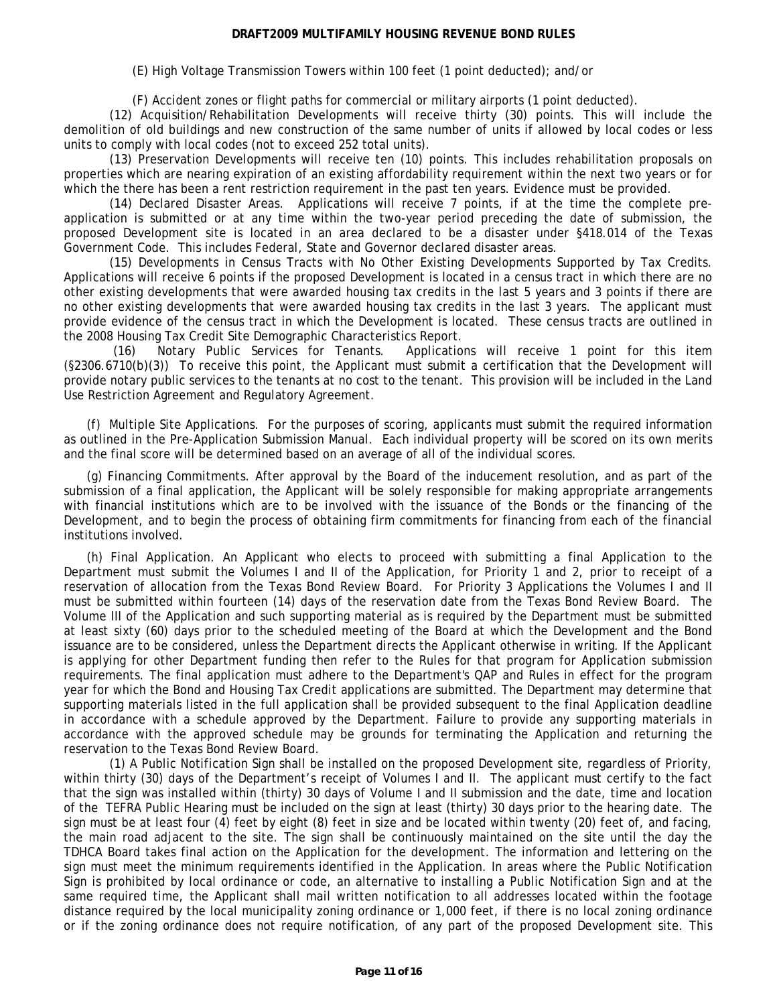(E) High Voltage Transmission Towers within 100 feet (1 point deducted); and/or

(F) Accident zones or flight paths for commercial or military airports (1 point deducted).

(12) Acquisition/Rehabilitation Developments will receive thirty (30) points. This will include the demolition of old buildings and new construction of the same number of units if allowed by local codes or less units to comply with local codes (not to exceed 252 total units).

(13) Preservation Developments will receive ten (10) points. This includes rehabilitation proposals on properties which are nearing expiration of an existing affordability requirement within the next two years or for which the there has been a rent restriction requirement in the past ten years. Evidence must be provided.

(14) Declared Disaster Areas. Applications will receive 7 points, if at the time the complete preapplication is submitted or at any time within the two-year period preceding the date of submission, the proposed Development site is located in an area declared to be a disaster under §418.014 of the Texas Government Code. This includes Federal, State and Governor declared disaster areas.

(15) Developments in Census Tracts with No Other Existing Developments Supported by Tax Credits. Applications will receive 6 points if the proposed Development is located in a census tract in which there are no other existing developments that were awarded housing tax credits in the last 5 years and 3 points if there are no other existing developments that were awarded housing tax credits in the last 3 years. The applicant must provide evidence of the census tract in which the Development is located. These census tracts are outlined in the 2008 Housing Tax Credit Site Demographic Characteristics Report.

(16) Notary Public Services for Tenants. Applications will receive 1 point for this item (§2306.6710(b)(3)) To receive this point, the Applicant must submit a certification that the Development will provide notary public services to the tenants at no cost to the tenant. This provision will be included in the Land Use Restriction Agreement and Regulatory Agreement.

(f) Multiple Site Applications. For the purposes of scoring, applicants must submit the required information as outlined in the Pre-Application Submission Manual. Each individual property will be scored on its own merits and the final score will be determined based on an average of all of the individual scores.

(g) Financing Commitments. After approval by the Board of the inducement resolution, and as part of the submission of a final application, the Applicant will be solely responsible for making appropriate arrangements with financial institutions which are to be involved with the issuance of the Bonds or the financing of the Development, and to begin the process of obtaining firm commitments for financing from each of the financial institutions involved.

(h) Final Application. An Applicant who elects to proceed with submitting a final Application to the Department must submit the Volumes I and II of the Application, for Priority 1 and 2, prior to receipt of a reservation of allocation from the Texas Bond Review Board. For Priority 3 Applications the Volumes I and II must be submitted within fourteen (14) days of the reservation date from the Texas Bond Review Board. The Volume III of the Application and such supporting material as is required by the Department must be submitted at least sixty (60) days prior to the scheduled meeting of the Board at which the Development and the Bond issuance are to be considered, unless the Department directs the Applicant otherwise in writing. If the Applicant is applying for other Department funding then refer to the Rules for that program for Application submission requirements. The final application must adhere to the Department's QAP and Rules in effect for the program year for which the Bond and Housing Tax Credit applications are submitted. The Department may determine that supporting materials listed in the full application shall be provided subsequent to the final Application deadline in accordance with a schedule approved by the Department. Failure to provide any supporting materials in accordance with the approved schedule may be grounds for terminating the Application and returning the reservation to the Texas Bond Review Board.

(1) A Public Notification Sign shall be installed on the proposed Development site, regardless of Priority, within thirty (30) days of the Department's receipt of Volumes I and II. The applicant must certify to the fact that the sign was installed within (thirty) 30 days of Volume I and II submission and the date, time and location of the TEFRA Public Hearing must be included on the sign at least (thirty) 30 days prior to the hearing date. The sign must be at least four (4) feet by eight (8) feet in size and be located within twenty (20) feet of, and facing, the main road adjacent to the site. The sign shall be continuously maintained on the site until the day the TDHCA Board takes final action on the Application for the development. The information and lettering on the sign must meet the minimum requirements identified in the Application. In areas where the Public Notification Sign is prohibited by local ordinance or code, an alternative to installing a Public Notification Sign and at the same required time, the Applicant shall mail written notification to all addresses located within the footage distance required by the local municipality zoning ordinance or 1,000 feet, if there is no local zoning ordinance or if the zoning ordinance does not require notification, of any part of the proposed Development site. This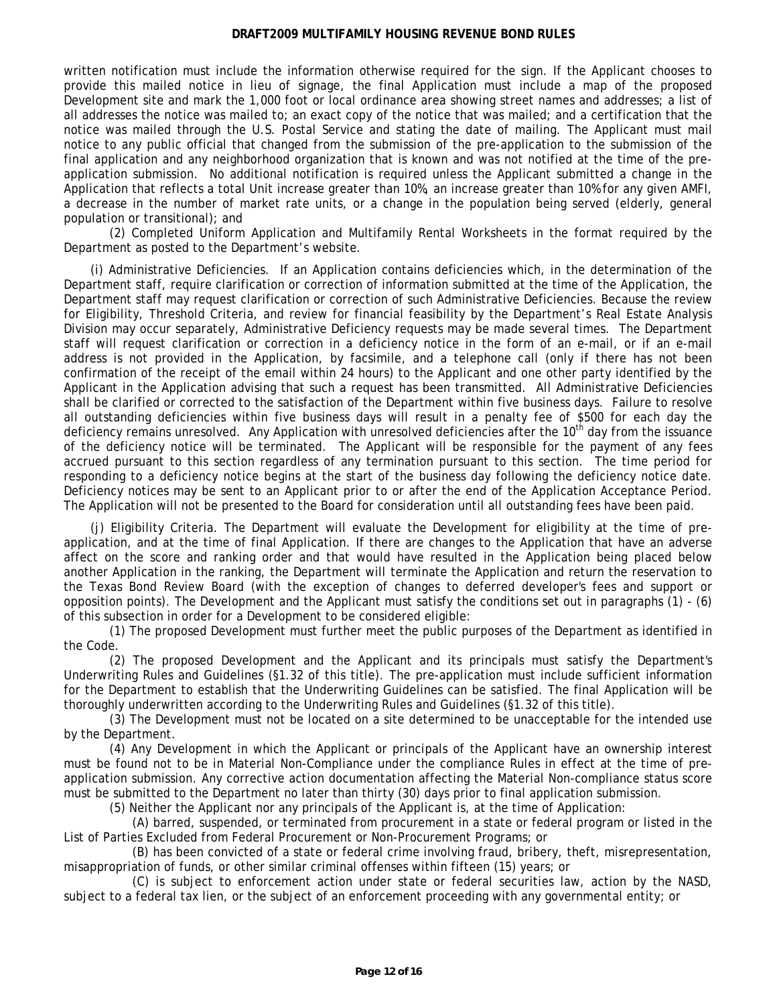written notification must include the information otherwise required for the sign. If the Applicant chooses to provide this mailed notice in lieu of signage, the final Application must include a map of the proposed Development site and mark the 1,000 foot or local ordinance area showing street names and addresses; a list of all addresses the notice was mailed to; an exact copy of the notice that was mailed; and a certification that the notice was mailed through the U.S. Postal Service and stating the date of mailing. The Applicant must mail notice to any public official that changed from the submission of the pre-application to the submission of the final application and any neighborhood organization that is known and was not notified at the time of the preapplication submission. No additional notification is required unless the Applicant submitted a change in the Application that reflects a total Unit increase greater than 10%, an increase greater than 10% for any given AMFI, a decrease in the number of market rate units, or a change in the population being served (elderly, general population or transitional); and

(2) Completed Uniform Application and Multifamily Rental Worksheets in the format required by the Department as posted to the Department's website.

(i) Administrative Deficiencies. If an Application contains deficiencies which, in the determination of the Department staff, require clarification or correction of information submitted at the time of the Application, the Department staff may request clarification or correction of such Administrative Deficiencies. Because the review for Eligibility, Threshold Criteria, and review for financial feasibility by the Department's Real Estate Analysis Division may occur separately, Administrative Deficiency requests may be made several times. The Department staff will request clarification or correction in a deficiency notice in the form of an e-mail, or if an e-mail address is not provided in the Application, by facsimile, and a telephone call (only if there has not been confirmation of the receipt of the email within 24 hours) to the Applicant and one other party identified by the Applicant in the Application advising that such a request has been transmitted. All Administrative Deficiencies shall be clarified or corrected to the satisfaction of the Department within five business days. Failure to resolve all outstanding deficiencies within five business days will result in a penalty fee of \$500 for each day the deficiency remains unresolved. Any Application with unresolved deficiencies after the 10<sup>th</sup> day from the issuance of the deficiency notice will be terminated. The Applicant will be responsible for the payment of any fees accrued pursuant to this section regardless of any termination pursuant to this section. The time period for responding to a deficiency notice begins at the start of the business day following the deficiency notice date. Deficiency notices may be sent to an Applicant prior to or after the end of the Application Acceptance Period. The Application will not be presented to the Board for consideration until all outstanding fees have been paid.

(j) Eligibility Criteria. The Department will evaluate the Development for eligibility at the time of preapplication, and at the time of final Application. If there are changes to the Application that have an adverse affect on the score and ranking order and that would have resulted in the Application being placed below another Application in the ranking, the Department will terminate the Application and return the reservation to the Texas Bond Review Board (with the exception of changes to deferred developer's fees and support or opposition points). The Development and the Applicant must satisfy the conditions set out in paragraphs (1) - (6) of this subsection in order for a Development to be considered eligible:

(1) The proposed Development must further meet the public purposes of the Department as identified in the Code.

(2) The proposed Development and the Applicant and its principals must satisfy the Department's Underwriting Rules and Guidelines (§1.32 of this title). The pre-application must include sufficient information for the Department to establish that the Underwriting Guidelines can be satisfied. The final Application will be thoroughly underwritten according to the Underwriting Rules and Guidelines (§1.32 of this title).

(3) The Development must not be located on a site determined to be unacceptable for the intended use by the Department.

(4) Any Development in which the Applicant or principals of the Applicant have an ownership interest must be found not to be in Material Non-Compliance under the compliance Rules in effect at the time of preapplication submission. Any corrective action documentation affecting the Material Non-compliance status score must be submitted to the Department no later than thirty (30) days prior to final application submission.

(5) Neither the Applicant nor any principals of the Applicant is, at the time of Application:

(A) barred, suspended, or terminated from procurement in a state or federal program or listed in the List of Parties Excluded from Federal Procurement or Non-Procurement Programs; or

(B) has been convicted of a state or federal crime involving fraud, bribery, theft, misrepresentation, misappropriation of funds, or other similar criminal offenses within fifteen (15) years; or

(C) is subject to enforcement action under state or federal securities law, action by the NASD, subject to a federal tax lien, or the subject of an enforcement proceeding with any governmental entity; or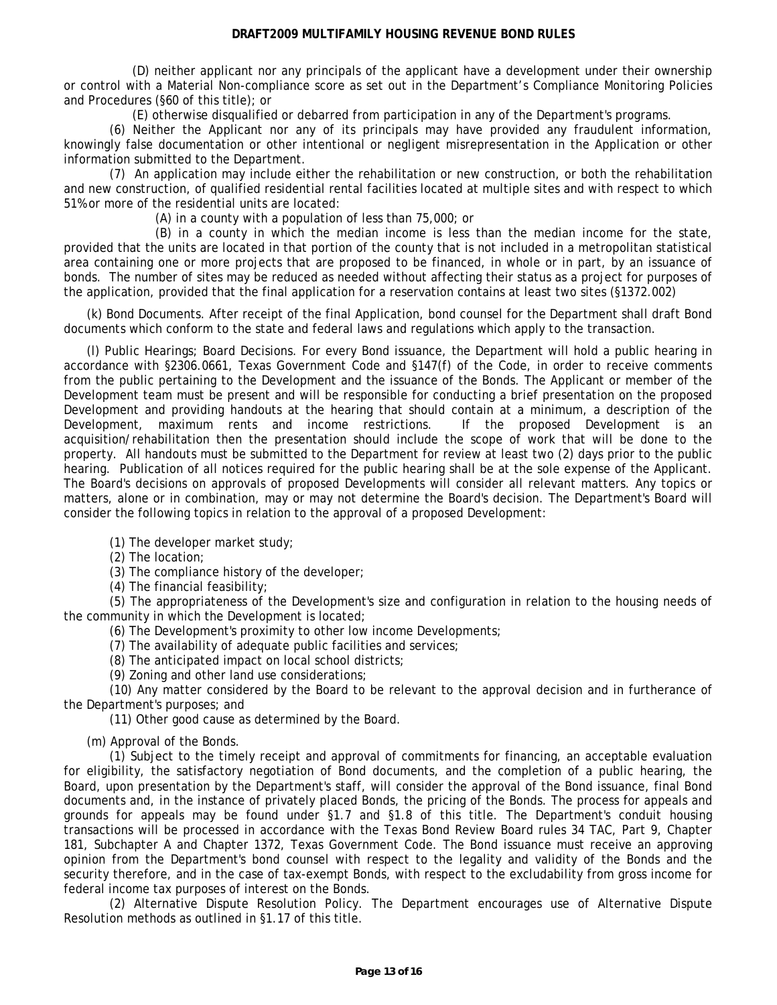(D) neither applicant nor any principals of the applicant have a development under their ownership or control with a Material Non-compliance score as set out in the Department's Compliance Monitoring Policies and Procedures (§60 of this title); or

(E) otherwise disqualified or debarred from participation in any of the Department's programs.

(6) Neither the Applicant nor any of its principals may have provided any fraudulent information, knowingly false documentation or other intentional or negligent misrepresentation in the Application or other information submitted to the Department.

(7) An application may include either the rehabilitation or new construction, or both the rehabilitation and new construction, of qualified residential rental facilities located at multiple sites and with respect to which 51% or more of the residential units are located:

(A) in a county with a population of less than 75,000; or

(B) in a county in which the median income is less than the median income for the state, provided that the units are located in that portion of the county that is not included in a metropolitan statistical area containing one or more projects that are proposed to be financed, in whole or in part, by an issuance of bonds. The number of sites may be reduced as needed without affecting their status as a project for purposes of the application, provided that the final application for a reservation contains at least two sites (§1372.002)

(k) Bond Documents. After receipt of the final Application, bond counsel for the Department shall draft Bond documents which conform to the state and federal laws and regulations which apply to the transaction.

(l) Public Hearings; Board Decisions. For every Bond issuance, the Department will hold a public hearing in accordance with §2306.0661, Texas Government Code and §147(f) of the Code, in order to receive comments from the public pertaining to the Development and the issuance of the Bonds. The Applicant or member of the Development team must be present and will be responsible for conducting a brief presentation on the proposed Development and providing handouts at the hearing that should contain at a minimum, a description of the Development, maximum rents and income restrictions. If the proposed Development is an acquisition/rehabilitation then the presentation should include the scope of work that will be done to the property. All handouts must be submitted to the Department for review at least two (2) days prior to the public hearing. Publication of all notices required for the public hearing shall be at the sole expense of the Applicant. The Board's decisions on approvals of proposed Developments will consider all relevant matters. Any topics or matters, alone or in combination, may or may not determine the Board's decision. The Department's Board will consider the following topics in relation to the approval of a proposed Development:

(1) The developer market study;

(2) The location;

(3) The compliance history of the developer;

(4) The financial feasibility;

(5) The appropriateness of the Development's size and configuration in relation to the housing needs of the community in which the Development is located;

(6) The Development's proximity to other low income Developments;

(7) The availability of adequate public facilities and services;

(8) The anticipated impact on local school districts;

(9) Zoning and other land use considerations;

(10) Any matter considered by the Board to be relevant to the approval decision and in furtherance of the Department's purposes; and

(11) Other good cause as determined by the Board.

(m) Approval of the Bonds.

(1) Subject to the timely receipt and approval of commitments for financing, an acceptable evaluation for eligibility, the satisfactory negotiation of Bond documents, and the completion of a public hearing, the Board, upon presentation by the Department's staff, will consider the approval of the Bond issuance, final Bond documents and, in the instance of privately placed Bonds, the pricing of the Bonds. The process for appeals and grounds for appeals may be found under §1.7 and §1.8 of this title. The Department's conduit housing transactions will be processed in accordance with the Texas Bond Review Board rules 34 TAC, Part 9, Chapter 181, Subchapter A and Chapter 1372, Texas Government Code. The Bond issuance must receive an approving opinion from the Department's bond counsel with respect to the legality and validity of the Bonds and the security therefore, and in the case of tax-exempt Bonds, with respect to the excludability from gross income for federal income tax purposes of interest on the Bonds.

(2) Alternative Dispute Resolution Policy. The Department encourages use of Alternative Dispute Resolution methods as outlined in §1.17 of this title.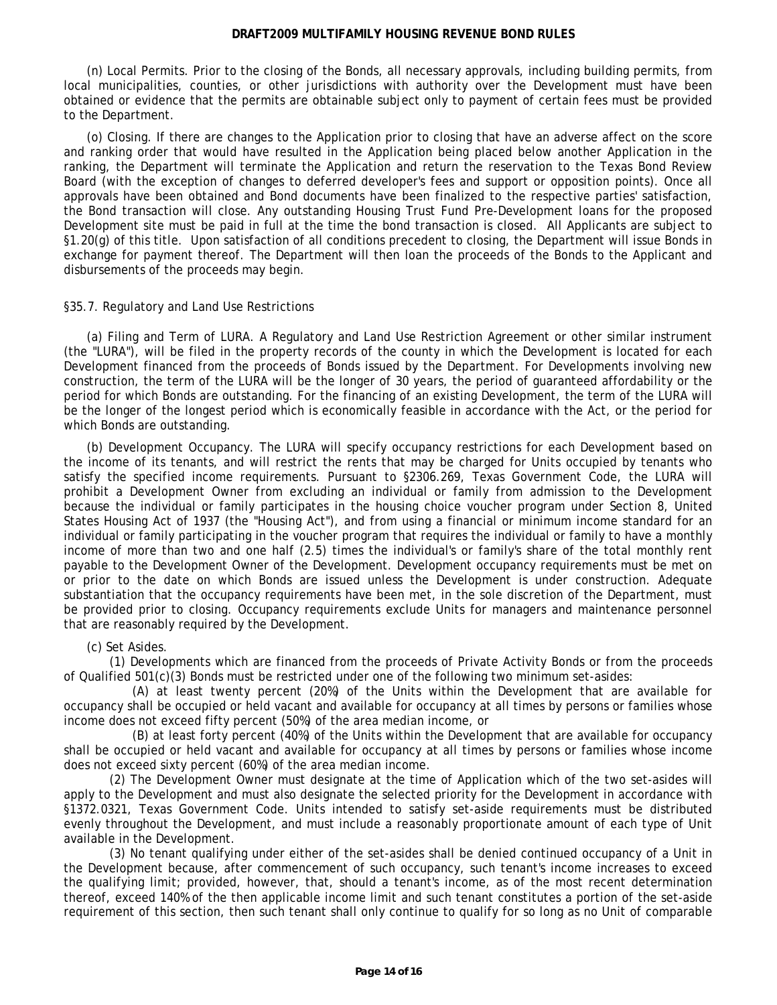<span id="page-13-0"></span>(n) Local Permits. Prior to the closing of the Bonds, all necessary approvals, including building permits, from local municipalities, counties, or other jurisdictions with authority over the Development must have been obtained or evidence that the permits are obtainable subject only to payment of certain fees must be provided to the Department.

(o) Closing. If there are changes to the Application prior to closing that have an adverse affect on the score and ranking order that would have resulted in the Application being placed below another Application in the ranking, the Department will terminate the Application and return the reservation to the Texas Bond Review Board (with the exception of changes to deferred developer's fees and support or opposition points). Once all approvals have been obtained and Bond documents have been finalized to the respective parties' satisfaction, the Bond transaction will close. Any outstanding Housing Trust Fund Pre-Development loans for the proposed Development site must be paid in full at the time the bond transaction is closed. All Applicants are subject to §1.20(g) of this title. Upon satisfaction of all conditions precedent to closing, the Department will issue Bonds in exchange for payment thereof. The Department will then loan the proceeds of the Bonds to the Applicant and disbursements of the proceeds may begin.

# §35.7. Regulatory and Land Use Restrictions

(a) Filing and Term of LURA. A Regulatory and Land Use Restriction Agreement or other similar instrument (the "LURA"), will be filed in the property records of the county in which the Development is located for each Development financed from the proceeds of Bonds issued by the Department. For Developments involving new construction, the term of the LURA will be the longer of 30 years, the period of guaranteed affordability or the period for which Bonds are outstanding. For the financing of an existing Development, the term of the LURA will be the longer of the longest period which is economically feasible in accordance with the Act, or the period for which Bonds are outstanding.

(b) Development Occupancy. The LURA will specify occupancy restrictions for each Development based on the income of its tenants, and will restrict the rents that may be charged for Units occupied by tenants who satisfy the specified income requirements. Pursuant to §2306.269, Texas Government Code, the LURA will prohibit a Development Owner from excluding an individual or family from admission to the Development because the individual or family participates in the housing choice voucher program under Section 8, United States Housing Act of 1937 (the "Housing Act"), and from using a financial or minimum income standard for an individual or family participating in the voucher program that requires the individual or family to have a monthly income of more than two and one half (2.5) times the individual's or family's share of the total monthly rent payable to the Development Owner of the Development. Development occupancy requirements must be met on or prior to the date on which Bonds are issued unless the Development is under construction. Adequate substantiation that the occupancy requirements have been met, in the sole discretion of the Department, must be provided prior to closing. Occupancy requirements exclude Units for managers and maintenance personnel that are reasonably required by the Development.

# (c) Set Asides.

(1) Developments which are financed from the proceeds of Private Activity Bonds or from the proceeds of Qualified 501(c)(3) Bonds must be restricted under one of the following two minimum set-asides:

(A) at least twenty percent (20%) of the Units within the Development that are available for occupancy shall be occupied or held vacant and available for occupancy at all times by persons or families whose income does not exceed fifty percent (50%) of the area median income, or

(B) at least forty percent (40%) of the Units within the Development that are available for occupancy shall be occupied or held vacant and available for occupancy at all times by persons or families whose income does not exceed sixty percent (60%) of the area median income.

(2) The Development Owner must designate at the time of Application which of the two set-asides will apply to the Development and must also designate the selected priority for the Development in accordance with §1372.0321, Texas Government Code. Units intended to satisfy set-aside requirements must be distributed evenly throughout the Development, and must include a reasonably proportionate amount of each type of Unit available in the Development.

(3) No tenant qualifying under either of the set-asides shall be denied continued occupancy of a Unit in the Development because, after commencement of such occupancy, such tenant's income increases to exceed the qualifying limit; provided, however, that, should a tenant's income, as of the most recent determination thereof, exceed 140% of the then applicable income limit and such tenant constitutes a portion of the set-aside requirement of this section, then such tenant shall only continue to qualify for so long as no Unit of comparable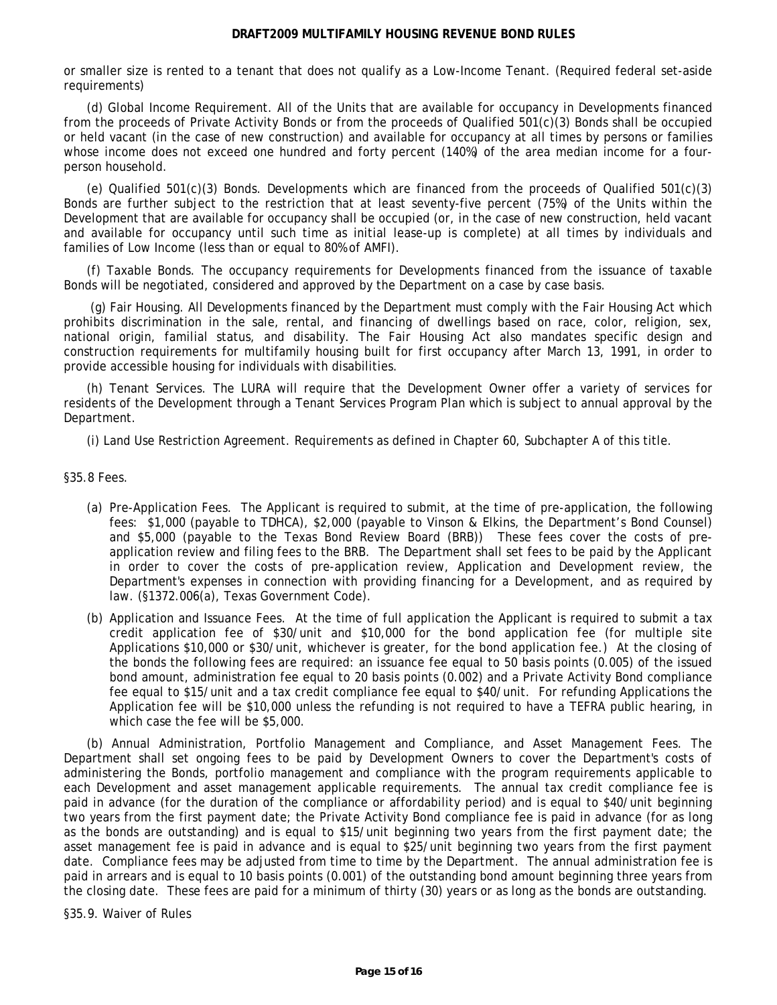<span id="page-14-0"></span>or smaller size is rented to a tenant that does not qualify as a Low-Income Tenant. (Required federal set-aside requirements)

(d) Global Income Requirement. All of the Units that are available for occupancy in Developments financed from the proceeds of Private Activity Bonds or from the proceeds of Qualified 501(c)(3) Bonds shall be occupied or held vacant (in the case of new construction) and available for occupancy at all times by persons or families whose income does not exceed one hundred and forty percent (140%) of the area median income for a fourperson household.

(e) Qualified 501(c)(3) Bonds. Developments which are financed from the proceeds of Qualified 501(c)(3) Bonds are further subject to the restriction that at least seventy-five percent (75%) of the Units within the Development that are available for occupancy shall be occupied (or, in the case of new construction, held vacant and available for occupancy until such time as initial lease-up is complete) at all times by individuals and families of Low Income (less than or equal to 80% of AMFI).

(f) Taxable Bonds. The occupancy requirements for Developments financed from the issuance of taxable Bonds will be negotiated, considered and approved by the Department on a case by case basis.

 (g) Fair Housing. All Developments financed by the Department must comply with the Fair Housing Act which prohibits discrimination in the sale, rental, and financing of dwellings based on race, color, religion, sex, national origin, familial status, and disability. The Fair Housing Act also mandates specific design and construction requirements for multifamily housing built for first occupancy after March 13, 1991, in order to provide accessible housing for individuals with disabilities.

(h) Tenant Services. The LURA will require that the Development Owner offer a variety of services for residents of the Development through a Tenant Services Program Plan which is subject to annual approval by the Department.

(i) Land Use Restriction Agreement. Requirements as defined in Chapter 60, Subchapter A of this title.

§35.8 Fees.

- (a) Pre-Application Fees. The Applicant is required to submit, at the time of pre-application, the following fees: \$1,000 (payable to TDHCA), \$2,000 (payable to Vinson & Elkins, the Department's Bond Counsel) and \$5,000 (payable to the Texas Bond Review Board (BRB)) These fees cover the costs of preapplication review and filing fees to the BRB. The Department shall set fees to be paid by the Applicant in order to cover the costs of pre-application review, Application and Development review, the Department's expenses in connection with providing financing for a Development, and as required by law. (§1372.006(a), Texas Government Code).
- (b) Application and Issuance Fees. At the time of full application the Applicant is required to submit a tax credit application fee of \$30/unit and \$10,000 for the bond application fee (for multiple site Applications \$10,000 or \$30/unit, whichever is greater, for the bond application fee.) At the closing of the bonds the following fees are required: an issuance fee equal to 50 basis points (0.005) of the issued bond amount, administration fee equal to 20 basis points (0.002) and a Private Activity Bond compliance fee equal to \$15/unit and a tax credit compliance fee equal to \$40/unit. For refunding Applications the Application fee will be \$10,000 unless the refunding is not required to have a TEFRA public hearing, in which case the fee will be \$5,000.

(b) Annual Administration, Portfolio Management and Compliance, and Asset Management Fees. The Department shall set ongoing fees to be paid by Development Owners to cover the Department's costs of administering the Bonds, portfolio management and compliance with the program requirements applicable to each Development and asset management applicable requirements. The annual tax credit compliance fee is paid in advance (for the duration of the compliance or affordability period) and is equal to \$40/unit beginning two years from the first payment date; the Private Activity Bond compliance fee is paid in advance (for as long as the bonds are outstanding) and is equal to \$15/unit beginning two years from the first payment date; the asset management fee is paid in advance and is equal to \$25/unit beginning two years from the first payment date. Compliance fees may be adjusted from time to time by the Department. The annual administration fee is paid in arrears and is equal to 10 basis points (0.001) of the outstanding bond amount beginning three years from the closing date. These fees are paid for a minimum of thirty (30) years or as long as the bonds are outstanding.

§35.9. Waiver of Rules